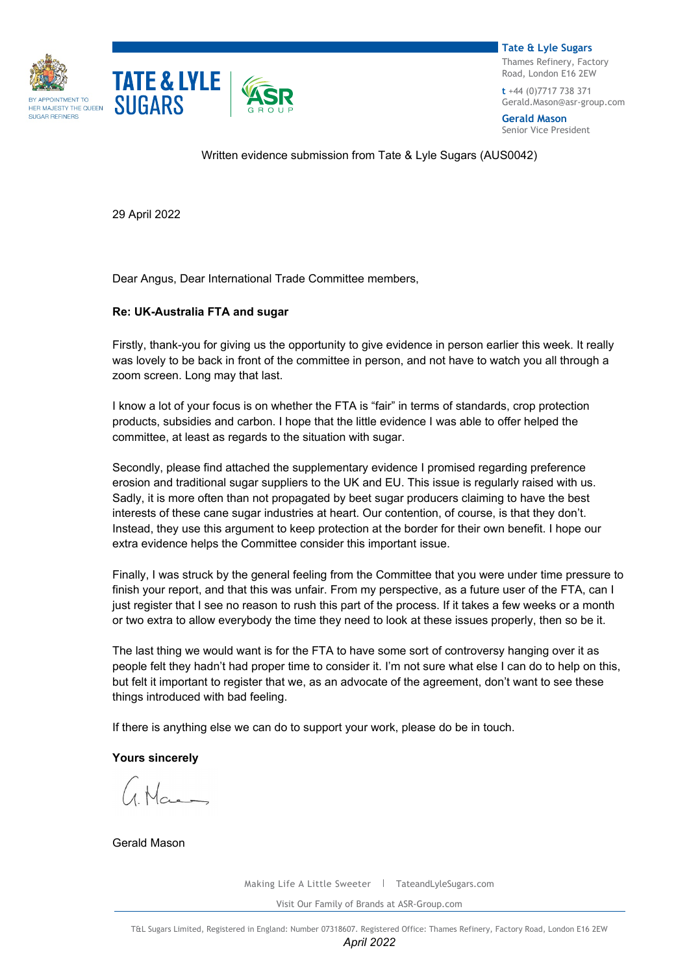



**Tate & Lyle Sugars** Thames Refinery, Factory Road, London E16 2EW

**t** +44 (0)7717 738 371 [Gerald.Mason@asr-group.com](mailto:Gerald.Mason@asr-group.com)

**Gerald Mason** Senior Vice President

Written evidence submission from Tate & Lyle Sugars (AUS0042)

29 April 2022

Dear Angus, Dear International Trade Committee members,

## **Re: UK-Australia FTA and sugar**

Firstly, thank-you for giving us the opportunity to give evidence in person earlier this week. It really was lovely to be back in front of the committee in person, and not have to watch you all through a zoom screen. Long may that last.

I know a lot of your focus is on whether the FTA is "fair" in terms of standards, crop protection products, subsidies and carbon. I hope that the little evidence I was able to offer helped the committee, at least as regards to the situation with sugar.

Secondly, please find attached the supplementary evidence I promised regarding preference erosion and traditional sugar suppliers to the UK and EU. This issue is regularly raised with us. Sadly, it is more often than not propagated by beet sugar producers claiming to have the best interests of these cane sugar industries at heart. Our contention, of course, is that they don't. Instead, they use this argument to keep protection at the border for their own benefit. I hope our extra evidence helps the Committee consider this important issue.

Finally, I was struck by the general feeling from the Committee that you were under time pressure to finish your report, and that this was unfair. From my perspective, as a future user of the FTA, can I just register that I see no reason to rush this part of the process. If it takes a few weeks or a month or two extra to allow everybody the time they need to look at these issues properly, then so be it.

The last thing we would want is for the FTA to have some sort of controversy hanging over it as people felt they hadn't had proper time to consider it. I'm not sure what else I can do to help on this, but felt it important to register that we, as an advocate of the agreement, don't want to see these things introduced with bad feeling.

If there is anything else we can do to support your work, please do be in touch.

**Yours sincerely**

Gerald Mason

Making Life A Little Sweeter | TateandLyleSugars.com

Visit Our Family of Brands at ASR-Group.com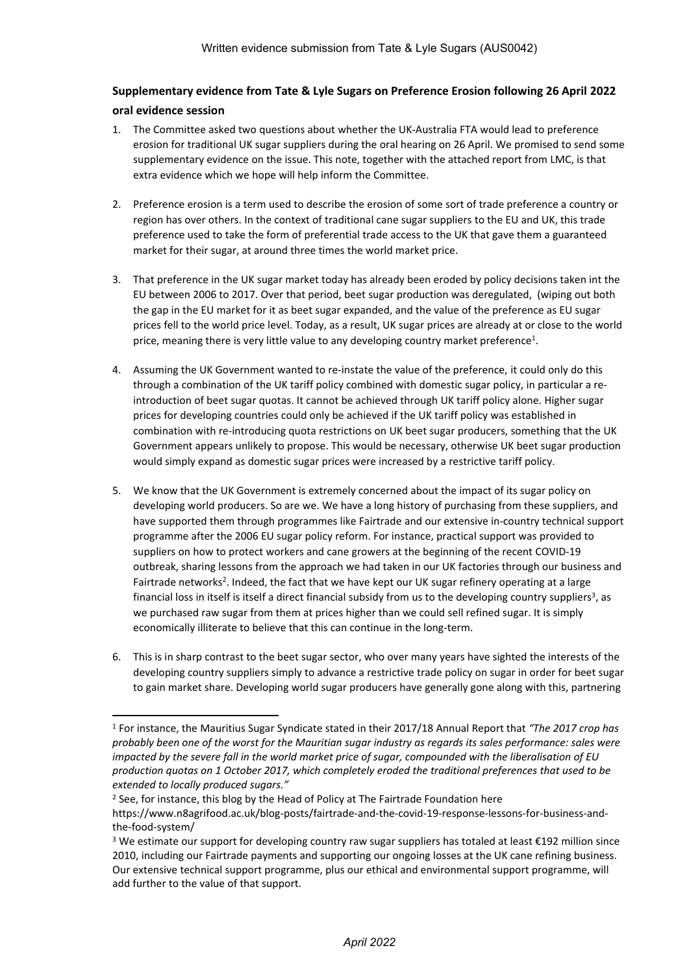## **Supplementary evidence from Tate & Lyle Sugars on Preference Erosion following 26 April 2022**

## **oral evidence session**

- 1. The Committee asked two questions about whether the UK-Australia FTA would lead to preference erosion for traditional UK sugar suppliers during the oral hearing on 26 April. We promised to send some supplementary evidence on the issue. This note, together with the attached report from LMC, is that extra evidence which we hope will help inform the Committee.
- 2. Preference erosion is a term used to describe the erosion of some sort of trade preference a country or region has over others. In the context of traditional cane sugar suppliers to the EU and UK, this trade preference used to take the form of preferential trade access to the UK that gave them a guaranteed market for their sugar, at around three times the world market price.
- 3. That preference in the UK sugar market today has already been eroded by policy decisions taken int the EU between 2006 to 2017. Over that period, beet sugar production was deregulated, (wiping out both the gap in the EU market for it as beet sugar expanded, and the value of the preference as EU sugar prices fell to the world price level. Today, as a result, UK sugar prices are already at or close to the world price, meaning there is very little value to any developing country market preference<sup>1</sup>.
- 4. Assuming the UK Government wanted to re-instate the value of the preference, it could only do this through a combination of the UK tariff policy combined with domestic sugar policy, in particular a reintroduction of beet sugar quotas. It cannot be achieved through UK tariff policy alone. Higher sugar prices for developing countries could only be achieved if the UK tariff policy was established in combination with re-introducing quota restrictions on UK beet sugar producers, something that the UK Government appears unlikely to propose. This would be necessary, otherwise UK beet sugar production would simply expand as domestic sugar prices were increased by a restrictive tariff policy.
- 5. We know that the UK Government is extremely concerned about the impact of its sugar policy on developing world producers. So are we. We have a long history of purchasing from these suppliers, and have supported them through programmes like Fairtrade and our extensive in-country technical support programme after the 2006 EU sugar policy reform. For instance, practical support was provided to suppliers on how to protect workers and cane growers at the beginning of the recent COVID-19 outbreak, sharing lessons from the approach we had taken in our UK factories through our business and Fairtrade networks<sup>2</sup>. Indeed, the fact that we have kept our UK sugar refinery operating at a large financial loss in itself is itself a direct financial subsidy from us to the developing country suppliers<sup>3</sup>, as we purchased raw sugar from them at prices higher than we could sell refined sugar. It is simply economically illiterate to believe that this can continue in the long-term.
- 6. This is in sharp contrast to the beet sugar sector, who over many years have sighted the interests of the developing country suppliers simply to advance a restrictive trade policy on sugar in order for beet sugar to gain market share. Developing world sugar producers have generally gone along with this, partnering

<sup>1</sup> For instance, the Mauritius Sugar Syndicate stated in their 2017/18 Annual Report that *"The 2017 crop has* probably been one of the worst for the Mauritian sugar industry as regards its sales performance: sales were impacted by the severe fall in the world market price of sugar, compounded with the liberalisation of EU *production quotas on 1 October 2017, which completely eroded the traditional preferences that used to be extended to locally produced sugars."*

<sup>&</sup>lt;sup>2</sup> See, for instance, this blog by the Head of Policy at The Fairtrade Foundation here https://www.n8agrifood.ac.uk/blog-posts/fairtrade-and-the-covid-19-response-lessons-for-business-andthe-food-system/

<sup>&</sup>lt;sup>3</sup> We estimate our support for developing country raw sugar suppliers has totaled at least €192 million since 2010, including our Fairtrade payments and supporting our ongoing losses at the UK cane refining business. Our extensive technical support programme, plus our ethical and environmental support programme, will add further to the value of that support.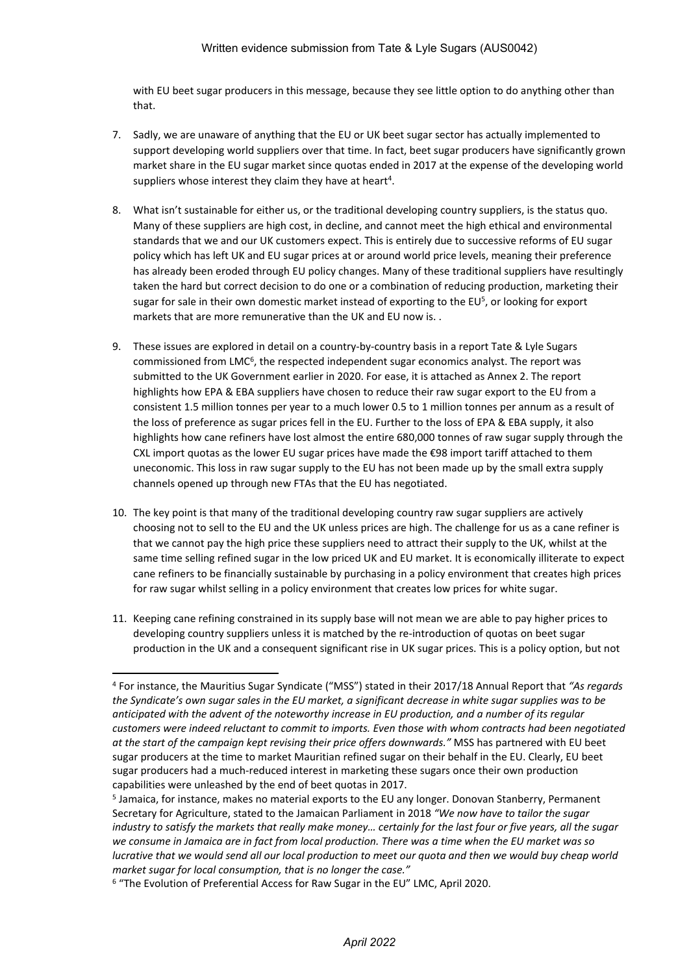## Written evidence submission from Tate & Lyle Sugars (AUS0042)

with EU beet sugar producers in this message, because they see little option to do anything other than that.

- 7. Sadly, we are unaware of anything that the EU or UK beet sugar sector has actually implemented to support developing world suppliers over that time. In fact, beet sugar producers have significantly grown market share in the EU sugar market since quotas ended in 2017 at the expense of the developing world suppliers whose interest they claim they have at heart<sup>4</sup>.
- 8. What isn't sustainable for either us, or the traditional developing country suppliers, is the status quo. Many of these suppliers are high cost, in decline, and cannot meet the high ethical and environmental standards that we and our UK customers expect. This is entirely due to successive reforms of EU sugar policy which has left UK and EU sugar prices at or around world price levels, meaning their preference has already been eroded through EU policy changes. Many of these traditional suppliers have resultingly taken the hard but correct decision to do one or a combination of reducing production, marketing their sugar for sale in their own domestic market instead of exporting to the EU<sup>5</sup>, or looking for export markets that are more remunerative than the UK and EU now is. .
- 9. These issues are explored in detail on a country-by-country basis in a report Tate & Lyle Sugars commissioned from LMC<sup>6</sup>, the respected independent sugar economics analyst. The report was submitted to the UK Government earlier in 2020. For ease, it is attached as Annex 2. The report highlights how EPA & EBA suppliers have chosen to reduce their raw sugar export to the EU from a consistent 1.5 million tonnes per year to a much lower 0.5 to 1 million tonnes per annum as a result of the loss of preference as sugar prices fell in the EU. Further to the loss of EPA & EBA supply, it also highlights how cane refiners have lost almost the entire 680,000 tonnes of raw sugar supply through the CXL import quotas as the lower EU sugar prices have made the €98 import tariff attached to them uneconomic. This loss in raw sugar supply to the EU has not been made up by the small extra supply channels opened up through new FTAs that the EU has negotiated.
- 10. The key point is that many of the traditional developing country raw sugar suppliers are actively choosing not to sell to the EU and the UK unless prices are high. The challenge for us as a cane refiner is that we cannot pay the high price these suppliers need to attract their supply to the UK, whilst at the same time selling refined sugar in the low priced UK and EU market. It is economically illiterate to expect cane refiners to be financially sustainable by purchasing in a policy environment that creates high prices for raw sugar whilst selling in a policy environment that creates low prices for white sugar.
- 11. Keeping cane refining constrained in its supply base will not mean we are able to pay higher prices to developing country suppliers unless it is matched by the re-introduction of quotas on beet sugar production in the UK and a consequent significant rise in UK sugar prices. This is a policy option, but not

<sup>4</sup> For instance, the Mauritius Sugar Syndicate ("MSS") stated in their 2017/18 Annual Report that *"As regards* the Syndicate's own sugar sales in the EU market, a significant decrease in white sugar supplies was to be *anticipated with the advent of the noteworthy increase in EU production, and a number of its regular customers were indeed reluctant to commit to imports. Even those with whom contracts had been negotiated at the start of the campaign kept revising their price offers downwards."* MSS has partnered with EU beet sugar producers at the time to market Mauritian refined sugar on their behalf in the EU. Clearly, EU beet sugar producers had a much-reduced interest in marketing these sugars once their own production capabilities were unleashed by the end of beet quotas in 2017.

<sup>5</sup> Jamaica, for instance, makes no material exports to the EU any longer. Donovan Stanberry, Permanent Secretary for Agriculture, stated to the Jamaican Parliament in 2018 *"We now have to tailor the sugar* industry to satisfy the markets that really make money... certainly for the last four or five years, all the sugar we consume in Jamaica are in fact from local production. There was a time when the EU market was so lucrative that we would send all our local production to meet our quota and then we would buy cheap world *market sugar for local consumption, that is no longer the case."*

<sup>6</sup> "The Evolution of Preferential Access for Raw Sugar in the EU" LMC, April 2020.